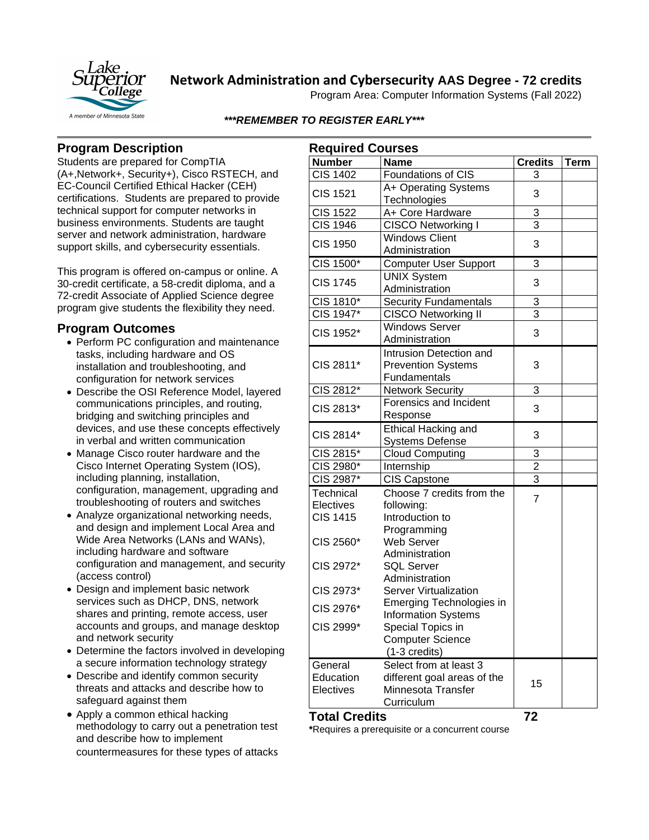

**Network Administration and Cybersecurity AAS Degree - 72 credits**

Program Area: Computer Information Systems (Fall 2022)

*\*\*\*REMEMBER TO REGISTER EARLY\*\*\**

## **Program Description**

Students are prepared for CompTIA (A+,Network+, Security+), Cisco RSTECH, and EC-Council Certified Ethical Hacker (CEH) certifications. Students are prepared to provide technical support for computer networks in business environments. Students are taught server and network administration, hardware support skills, and cybersecurity essentials.

This program is offered on-campus or online. A 30-credit certificate, a 58-credit diploma, and a 72-credit Associate of Applied Science degree program give students the flexibility they need.

### **Program Outcomes**

- Perform PC configuration and maintenance tasks, including hardware and OS installation and troubleshooting, and configuration for network services
- Describe the OSI Reference Model, layered communications principles, and routing, bridging and switching principles and devices, and use these concepts effectively in verbal and written communication
- Manage Cisco router hardware and the Cisco Internet Operating System (IOS), including planning, installation, configuration, management, upgrading and troubleshooting of routers and switches
- Analyze organizational networking needs, and design and implement Local Area and Wide Area Networks (LANs and WANs), including hardware and software configuration and management, and security (access control)
- Design and implement basic network services such as DHCP, DNS, network shares and printing, remote access, user accounts and groups, and manage desktop and network security
- Determine the factors involved in developing a secure information technology strategy
- Describe and identify common security threats and attacks and describe how to safeguard against them
- Apply a common ethical hacking methodology to carry out a penetration test and describe how to implement countermeasures for these types of attacks

| <b>Required Courses</b> |                                         |                |             |
|-------------------------|-----------------------------------------|----------------|-------------|
| <b>Number</b>           | <b>Name</b>                             | <b>Credits</b> | <b>Term</b> |
| <b>CIS 1402</b>         | <b>Foundations of CIS</b>               | 3              |             |
| <b>CIS 1521</b>         | A+ Operating Systems                    | 3              |             |
|                         | Technologies                            |                |             |
| CIS 1522                | A+ Core Hardware                        | 3              |             |
| <b>CIS 1946</b>         | <b>CISCO Networking I</b>               | 3              |             |
| <b>CIS 1950</b>         | <b>Windows Client</b>                   | 3              |             |
|                         | Administration                          |                |             |
| CIS 1500*               | <b>Computer User Support</b>            | 3              |             |
| <b>CIS 1745</b>         | <b>UNIX System</b>                      | 3              |             |
|                         | Administration                          |                |             |
| CIS 1810*               | <b>Security Fundamentals</b>            | 3              |             |
| CIS 1947*               | <b>CISCO Networking II</b>              | 3              |             |
| CIS 1952*               | <b>Windows Server</b><br>Administration | 3              |             |
|                         | Intrusion Detection and                 |                |             |
| CIS 2811*               | <b>Prevention Systems</b>               | 3              |             |
|                         | Fundamentals                            |                |             |
| CIS 2812*               | <b>Network Security</b>                 | 3              |             |
| CIS 2813*               | Forensics and Incident                  | 3              |             |
|                         | Response                                |                |             |
| CIS 2814*               | Ethical Hacking and                     | 3              |             |
|                         | <b>Systems Defense</b>                  |                |             |
| CIS 2815*               | <b>Cloud Computing</b>                  | 3              |             |
| CIS 2980*               | Internship                              | $\overline{c}$ |             |
| CIS 2987*               | CIS Capstone                            | 3              |             |
| Technical               | Choose 7 credits from the               | $\overline{7}$ |             |
| Electives               | following:                              |                |             |
| <b>CIS 1415</b>         | Introduction to                         |                |             |
|                         | Programming                             |                |             |
| CIS 2560*               | Web Server                              |                |             |
| CIS 2972*               | Administration<br><b>SQL Server</b>     |                |             |
|                         | Administration                          |                |             |
| CIS 2973*               | <b>Server Virtualization</b>            |                |             |
|                         | Emerging Technologies in                |                |             |
| CIS 2976*               | <b>Information Systems</b>              |                |             |
| CIS 2999*               | Special Topics in                       |                |             |
|                         | <b>Computer Science</b>                 |                |             |
|                         | (1-3 credits)                           |                |             |
| General                 | Select from at least 3                  |                |             |
| Education               | different goal areas of the             | 15             |             |
| Electives               | Minnesota Transfer                      |                |             |
|                         | Curriculum                              |                |             |
| Total Credits           |                                         | 72             |             |

**Total Credits 72 \***Requires a prerequisite or a concurrent course